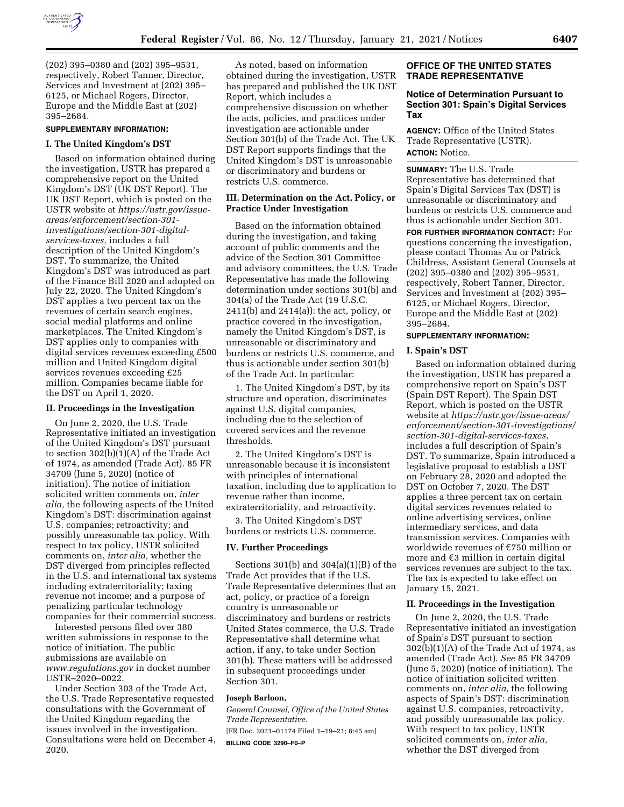

(202) 395–0380 and (202) 395–9531, respectively, Robert Tanner, Director, Services and Investment at (202) 395– 6125, or Michael Rogers, Director, Europe and the Middle East at (202) 395–2684.

# **SUPPLEMENTARY INFORMATION:**

#### **I. The United Kingdom's DST**

Based on information obtained during the investigation, USTR has prepared a comprehensive report on the United Kingdom's DST (UK DST Report). The UK DST Report, which is posted on the USTR website at *[https://ustr.gov/issue](https://ustr.gov/issue-areas/enforcement/section-301-investigations/section-301-digital-services-taxes)areas/enforcement/section-301 [investigations/section-301-digital](https://ustr.gov/issue-areas/enforcement/section-301-investigations/section-301-digital-services-taxes)[services-taxes,](https://ustr.gov/issue-areas/enforcement/section-301-investigations/section-301-digital-services-taxes)* includes a full description of the United Kingdom's DST. To summarize, the United Kingdom's DST was introduced as part of the Finance Bill 2020 and adopted on July 22, 2020. The United Kingdom's DST applies a two percent tax on the revenues of certain search engines, social medial platforms and online marketplaces. The United Kingdom's DST applies only to companies with digital services revenues exceeding £500 million and United Kingdom digital services revenues exceeding £25 million. Companies became liable for the DST on April 1, 2020.

### **II. Proceedings in the Investigation**

On June 2, 2020, the U.S. Trade Representative initiated an investigation of the United Kingdom's DST pursuant to section 302(b)(1)(A) of the Trade Act of 1974, as amended (Trade Act). 85 FR 34709 (June 5, 2020) (notice of initiation). The notice of initiation solicited written comments on, *inter alia,* the following aspects of the United Kingdom's DST: discrimination against U.S. companies; retroactivity; and possibly unreasonable tax policy. With respect to tax policy, USTR solicited comments on, *inter alia,* whether the DST diverged from principles reflected in the U.S. and international tax systems including extraterritoriality; taxing revenue not income; and a purpose of penalizing particular technology companies for their commercial success.

Interested persons filed over 380 written submissions in response to the notice of initiation. The public submissions are available on *[www.regulations.gov](http://www.regulations.gov)* in docket number USTR–2020–0022.

Under Section 303 of the Trade Act, the U.S. Trade Representative requested consultations with the Government of the United Kingdom regarding the issues involved in the investigation. Consultations were held on December 4, 2020.

As noted, based on information obtained during the investigation, USTR has prepared and published the UK DST Report, which includes a comprehensive discussion on whether the acts, policies, and practices under investigation are actionable under Section 301(b) of the Trade Act. The UK DST Report supports findings that the United Kingdom's DST is unreasonable or discriminatory and burdens or restricts U.S. commerce.

# **III. Determination on the Act, Policy, or Practice Under Investigation**

Based on the information obtained during the investigation, and taking account of public comments and the advice of the Section 301 Committee and advisory committees, the U.S. Trade Representative has made the following determination under sections 301(b) and 304(a) of the Trade Act (19 U.S.C. 2411(b) and 2414(a)): the act, policy, or practice covered in the investigation, namely the United Kingdom's DST, is unreasonable or discriminatory and burdens or restricts U.S. commerce, and thus is actionable under section 301(b) of the Trade Act. In particular:

1. The United Kingdom's DST, by its structure and operation, discriminates against U.S. digital companies, including due to the selection of covered services and the revenue thresholds.

2. The United Kingdom's DST is unreasonable because it is inconsistent with principles of international taxation, including due to application to revenue rather than income, extraterritoriality, and retroactivity.

3. The United Kingdom's DST burdens or restricts U.S. commerce.

### **IV. Further Proceedings**

Sections  $301(b)$  and  $304(a)(1)(B)$  of the Trade Act provides that if the U.S. Trade Representative determines that an act, policy, or practice of a foreign country is unreasonable or discriminatory and burdens or restricts United States commerce, the U.S. Trade Representative shall determine what action, if any, to take under Section 301(b). These matters will be addressed in subsequent proceedings under Section 301.

#### **Joseph Barloon,**

*General Counsel, Office of the United States Trade Representative.* 

[FR Doc. 2021–01174 Filed 1–19–21; 8:45 am] **BILLING CODE 3290–F0–P** 

# **OFFICE OF THE UNITED STATES TRADE REPRESENTATIVE**

# **Notice of Determination Pursuant to Section 301: Spain's Digital Services Tax**

**AGENCY:** Office of the United States Trade Representative (USTR). **ACTION:** Notice.

**SUMMARY:** The U.S. Trade Representative has determined that Spain's Digital Services Tax (DST) is unreasonable or discriminatory and burdens or restricts U.S. commerce and thus is actionable under Section 301.

**FOR FURTHER INFORMATION CONTACT:** For questions concerning the investigation, please contact Thomas Au or Patrick Childress, Assistant General Counsels at (202) 395–0380 and (202) 395–9531, respectively, Robert Tanner, Director, Services and Investment at (202) 395– 6125, or Michael Rogers, Director, Europe and the Middle East at (202) 395–2684.

#### **SUPPLEMENTARY INFORMATION:**

# **I. Spain's DST**

Based on information obtained during the investigation, USTR has prepared a comprehensive report on Spain's DST (Spain DST Report). The Spain DST Report, which is posted on the USTR website at *[https://ustr.gov/issue-areas/](https://ustr.gov/issue-areas/enforcement/section-301-investigations/section-301-digital-services-taxes)  [enforcement/section-301-investigations/](https://ustr.gov/issue-areas/enforcement/section-301-investigations/section-301-digital-services-taxes) [section-301-digital-services-taxes,](https://ustr.gov/issue-areas/enforcement/section-301-investigations/section-301-digital-services-taxes)*  includes a full description of Spain's DST. To summarize, Spain introduced a legislative proposal to establish a DST on February 28, 2020 and adopted the DST on October 7, 2020. The DST applies a three percent tax on certain digital services revenues related to online advertising services, online intermediary services, and data transmission services. Companies with worldwide revenues of  $E$ 750 million or more and  $\epsilon$ 3 million in certain digital services revenues are subject to the tax. The tax is expected to take effect on January 15, 2021.

#### **II. Proceedings in the Investigation**

On June 2, 2020, the U.S. Trade Representative initiated an investigation of Spain's DST pursuant to section 302(b)(1)(A) of the Trade Act of 1974, as amended (Trade Act). *See* 85 FR 34709 (June 5, 2020) (notice of initiation). The notice of initiation solicited written comments on, *inter alia,* the following aspects of Spain's DST: discrimination against U.S. companies, retroactivity, and possibly unreasonable tax policy. With respect to tax policy, USTR solicited comments on, *inter alia,*  whether the DST diverged from